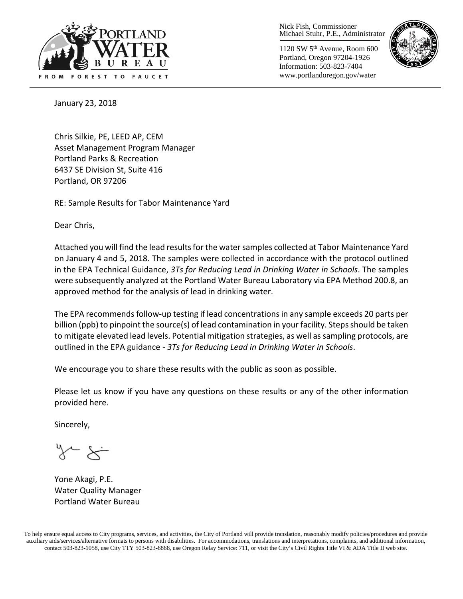

Nick Fish, Commissioner Michael Stuhr, P.E., Administrator

1120 SW 5th Avenue, Room 600 Portland, Oregon 97204-1926 Information: 503-823-7404 www.portlandoregon.gov/water



January 23, 2018

Chris Silkie, PE, LEED AP, CEM Asset Management Program Manager Portland Parks & Recreation 6437 SE Division St, Suite 416 Portland, OR 97206

RE: Sample Results for Tabor Maintenance Yard

Dear Chris,

Attached you will find the lead resultsforthe water samples collected at Tabor Maintenance Yard on January 4 and 5, 2018. The samples were collected in accordance with the protocol outlined in the EPA Technical Guidance, *3Ts for Reducing Lead in Drinking Water in Schools*. The samples were subsequently analyzed at the Portland Water Bureau Laboratory via EPA Method 200.8, an approved method for the analysis of lead in drinking water.

The EPA recommends follow-up testing if lead concentrations in any sample exceeds 20 parts per billion (ppb) to pinpoint the source(s) of lead contamination in your facility. Steps should be taken to mitigate elevated lead levels. Potential mitigation strategies, as well as sampling protocols, are outlined in the EPA guidance - *3Ts for Reducing Lead in Drinking Water in Schools*.

We encourage you to share these results with the public as soon as possible.

Please let us know if you have any questions on these results or any of the other information provided here.

Sincerely,

Yone Akagi, P.E. Water Quality Manager Portland Water Bureau

To help ensure equal access to City programs, services, and activities, the City of Portland will provide translation, reasonably modify policies/procedures and provide auxiliary aids/services/alternative formats to persons with disabilities. For accommodations, translations and interpretations, complaints, and additional information, contact 503-823-1058, use City TTY 503-823-6868, use Oregon Relay Service: 711, or visi[t the City's Civil Rights Title VI & ADA Title II web site.](http://www.portlandoregon.gov/oehr/66458)